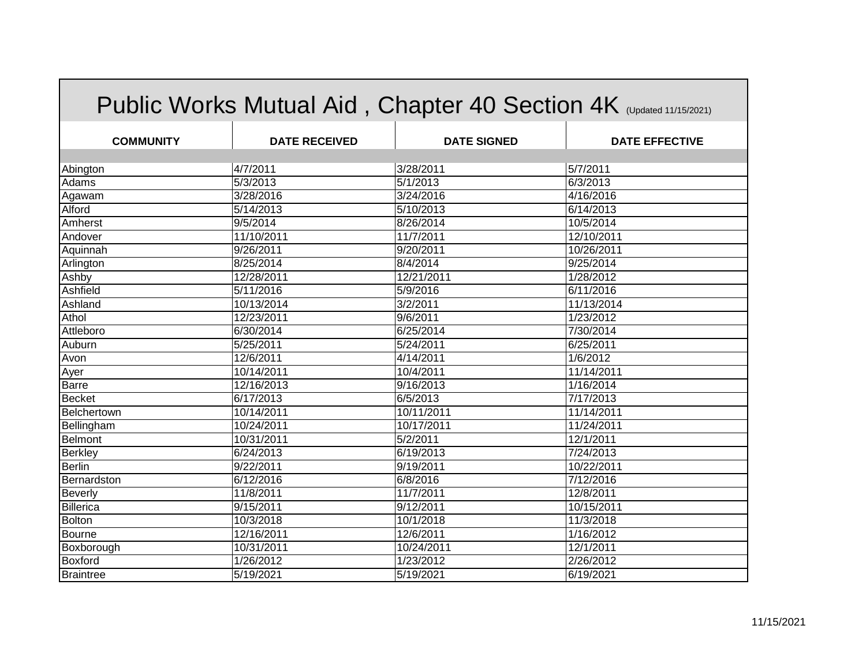| Public Works Mutual Aid, Chapter 40 Section 4K (Updated 11/15/2021) |                      |                    |                       |
|---------------------------------------------------------------------|----------------------|--------------------|-----------------------|
| <b>COMMUNITY</b>                                                    | <b>DATE RECEIVED</b> | <b>DATE SIGNED</b> | <b>DATE EFFECTIVE</b> |
| Abington                                                            | 4/7/2011             | 3/28/2011          | 5/7/2011              |
| Adams                                                               | 5/3/2013             | 5/1/2013           | 6/3/2013              |
| Agawam                                                              | 3/28/2016            | 3/24/2016          | 4/16/2016             |
| Alford                                                              | 5/14/2013            | 5/10/2013          | 6/14/2013             |
| Amherst                                                             | 9/5/2014             | 8/26/2014          | 10/5/2014             |
| Andover                                                             | 11/10/2011           | 11/7/2011          | 12/10/2011            |
| Aquinnah                                                            | 9/26/2011            | 9/20/2011          | 10/26/2011            |
| Arlington                                                           | 8/25/2014            | 8/4/2014           | 9/25/2014             |
| Ashby                                                               | 12/28/2011           | 12/21/2011         | 1/28/2012             |
| Ashfield                                                            | 5/11/2016            | 5/9/2016           | 6/11/2016             |
| Ashland                                                             | 10/13/2014           | 3/2/2011           | 11/13/2014            |
| Athol                                                               | 12/23/2011           | 9/6/2011           | 1/23/2012             |
| Attleboro                                                           | 6/30/2014            | 6/25/2014          | 7/30/2014             |
| Auburn                                                              | 5/25/2011            | 5/24/2011          | 6/25/2011             |
| Avon                                                                | 12/6/2011            | 4/14/2011          | 1/6/2012              |
| Ayer                                                                | 10/14/2011           | 10/4/2011          | 11/14/2011            |
| Barre                                                               | 12/16/2013           | 9/16/2013          | 1/16/2014             |
| Becket                                                              | 6/17/2013            | 6/5/2013           | 7/17/2013             |
| Belchertown                                                         | 10/14/2011           | 10/11/2011         | 11/14/2011            |
| Bellingham                                                          | 10/24/2011           | 10/17/2011         | 11/24/2011            |
| Belmont                                                             | 10/31/2011           | 5/2/2011           | 12/1/2011             |
| <b>Berkley</b>                                                      | 6/24/2013            | $\sqrt{6}/19/2013$ | 7/24/2013             |
| <b>Berlin</b>                                                       | 9/22/2011            | 9/19/2011          | 10/22/2011            |
| Bernardston                                                         | 6/12/2016            | 6/8/2016           | 7/12/2016             |
| Beverly                                                             | 11/8/2011            | 11/7/2011          | 12/8/2011             |
| Billerica                                                           | 9/15/2011            | 9/12/2011          | 10/15/2011            |
| <b>Bolton</b>                                                       | 10/3/2018            | 10/1/2018          | 11/3/2018             |
| <b>Bourne</b>                                                       | 12/16/2011           | 12/6/2011          | 1/16/2012             |
| Boxborough                                                          | 10/31/2011           | 10/24/2011         | 12/1/2011             |
| Boxford                                                             | 1/26/2012            | 1/23/2012          | 2/26/2012             |
| <b>Braintree</b>                                                    | 5/19/2021            | 5/19/2021          | 6/19/2021             |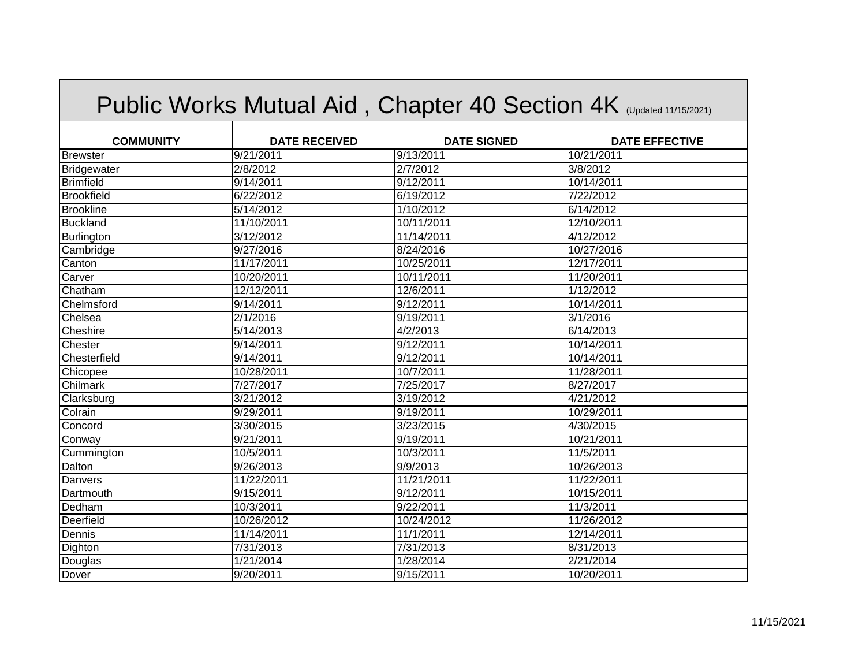|                   |                        |                    | Public Works Mutual Aid, Chapter 40 Section 4K (Updated 11/15/2021) |
|-------------------|------------------------|--------------------|---------------------------------------------------------------------|
| <b>COMMUNITY</b>  | <b>DATE RECEIVED</b>   | <b>DATE SIGNED</b> | <b>DATE EFFECTIVE</b>                                               |
| <b>Brewster</b>   | 9/21/2011              | 9/13/2011          | 10/21/2011                                                          |
| Bridgewater       | 2/8/2012               | 2/7/2012           | 3/8/2012                                                            |
| <b>Brimfield</b>  | 9/14/2011              | $\sqrt{9/12/2011}$ | 10/14/2011                                                          |
| <b>Brookfield</b> | $\sqrt{6/22}/2012$     | 6/19/2012          | 7/22/2012                                                           |
| <b>Brookline</b>  | 5/14/2012              | 1/10/2012          | 6/14/2012                                                           |
| <b>Buckland</b>   | 11/10/2011             | 10/11/2011         | 12/10/2011                                                          |
| Burlington        | 3/12/2012              | 11/14/2011         | 4/12/2012                                                           |
| Cambridge         | 9/27/2016              | 8/24/2016          | 10/27/2016                                                          |
| Canton            | 11/17/2011             | 10/25/2011         | 12/17/2011                                                          |
| Carver            | 10/20/2011             | 10/11/2011         | 11/20/2011                                                          |
| Chatham           | 12/12/2011             | 12/6/2011          | 1/12/2012                                                           |
| Chelmsford        | 9/14/2011              | 9/12/2011          | 10/14/2011                                                          |
| Chelsea           | 2/1/2016               | 9/19/2011          | 3/1/2016                                                            |
| Cheshire          | 5/14/2013              | 4/2/2013           | 6/14/2013                                                           |
| Chester           | 9/14/2011              | 9/12/2011          | 10/14/2011                                                          |
| Chesterfield      | 9/14/2011              | 9/12/2011          | 10/14/2011                                                          |
| Chicopee          | 10/28/2011             | 10/7/2011          | 11/28/2011                                                          |
| Chilmark          | 7/27/2017              | 7/25/2017          | 8/27/2017                                                           |
| Clarksburg        | 3/21/2012              | 3/19/2012          | 4/21/2012                                                           |
| Colrain           | 9/29/2011              | 9/19/2011          | 10/29/2011                                                          |
| Concord           | 3/30/2015              | 3/23/2015          | 4/30/2015                                                           |
| Conway            | $\frac{1}{9}{21}/2011$ | 9/19/2011          | 10/21/2011                                                          |
| Cummington        | 10/5/2011              | 10/3/2011          | 11/5/2011                                                           |
| Dalton            | $\frac{9}{26}$ /2013   | 9/9/2013           | 10/26/2013                                                          |
| Danvers           | 11/22/2011             | 11/21/2011         | 11/22/2011                                                          |
| Dartmouth         | 9/15/2011              | 9/12/2011          | 10/15/2011                                                          |
| Dedham            | 10/3/2011              | 9/22/2011          | 11/3/2011                                                           |
| Deerfield         | 10/26/2012             | 10/24/2012         | 11/26/2012                                                          |
| Dennis            | 11/14/2011             | 11/1/2011          | 12/14/2011                                                          |
| Dighton           | 7/31/2013              | 7/31/2013          | 8/31/2013                                                           |
| Douglas           | $\frac{1}{21/2014}$    | 1/28/2014          | 2/21/2014                                                           |
| Dover             | 9/20/2011              | 9/15/2011          | 10/20/2011                                                          |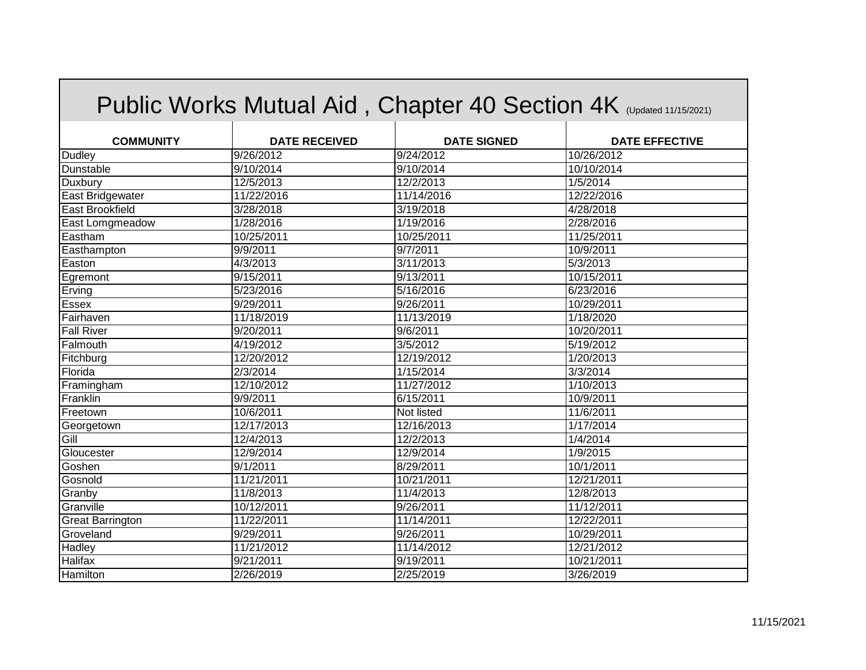| Public Works Mutual Aid, Chapter 40 Section 4K (Updated 11/15/2021) |                      |                    |                       |  |
|---------------------------------------------------------------------|----------------------|--------------------|-----------------------|--|
| <b>COMMUNITY</b>                                                    | <b>DATE RECEIVED</b> | <b>DATE SIGNED</b> | <b>DATE EFFECTIVE</b> |  |
| <b>Dudley</b>                                                       | 9/26/2012            | 9/24/2012          | 10/26/2012            |  |
| Dunstable                                                           | 9/10/2014            | 9/10/2014          | 10/10/2014            |  |
| Duxbury                                                             | 12/5/2013            | 12/2/2013          | 1/5/2014              |  |
| East Bridgewater                                                    | 11/22/2016           | 11/14/2016         | 12/22/2016            |  |
| <b>East Brookfield</b>                                              | 3/28/2018            | 3/19/2018          | 4/28/2018             |  |
| East Lomgmeadow                                                     | 1/28/2016            | 1/19/2016          | 2/28/2016             |  |
| Eastham                                                             | 10/25/2011           | 10/25/2011         | 11/25/2011            |  |
| Easthampton                                                         | 9/9/2011             | 9/7/2011           | 10/9/2011             |  |
| Easton                                                              | 4/3/2013             | 3/11/2013          | 5/3/2013              |  |
| Egremont                                                            | 9/15/2011            | 9/13/2011          | 10/15/2011            |  |
| Erving                                                              | 5/23/2016            | 5/16/2016          | 6/23/2016             |  |
| Essex                                                               | 9/29/2011            | 9/26/2011          | 10/29/2011            |  |
| Fairhaven                                                           | 11/18/2019           | 11/13/2019         | 1/18/2020             |  |
| <b>Fall River</b>                                                   | 9/20/2011            | 9/6/2011           | 10/20/2011            |  |
| Falmouth                                                            | 4/19/2012            | 3/5/2012           | 5/19/2012             |  |
| Fitchburg                                                           | 12/20/2012           | 12/19/2012         | 1/20/2013             |  |
| Florida                                                             | 2/3/2014             | 1/15/2014          | 3/3/2014              |  |
| Framingham                                                          | 12/10/2012           | 11/27/2012         | 1/10/2013             |  |
| Franklin                                                            | 9/9/2011             | 6/15/2011          | 10/9/2011             |  |
| Freetown                                                            | 10/6/2011            | Not listed         | 11/6/2011             |  |
| Georgetown                                                          | 12/17/2013           | 12/16/2013         | 1/17/2014             |  |
| Gill                                                                | 12/4/2013            | 12/2/2013          | 1/4/2014              |  |
| Gloucester                                                          | 12/9/2014            | 12/9/2014          | 1/9/2015              |  |
| Goshen                                                              | 9/1/2011             | 8/29/2011          | 10/1/2011             |  |
| Gosnold                                                             | 11/21/2011           | 10/21/2011         | 12/21/2011            |  |
| Granby                                                              | 11/8/2013            | 11/4/2013          | 12/8/2013             |  |
| Granville                                                           | 10/12/2011           | 9/26/2011          | 11/12/2011            |  |
| <b>Great Barrington</b>                                             | 11/22/2011           | 11/14/2011         | 12/22/2011            |  |
| Groveland                                                           | 9/29/2011            | 9/26/2011          | 10/29/2011            |  |
| Hadley                                                              | 11/21/2012           | 11/14/2012         | 12/21/2012            |  |
| Halifax                                                             | 9/21/2011            | 9/19/2011          | 10/21/2011            |  |
| Hamilton                                                            | 2/26/2019            | 2/25/2019          | 3/26/2019             |  |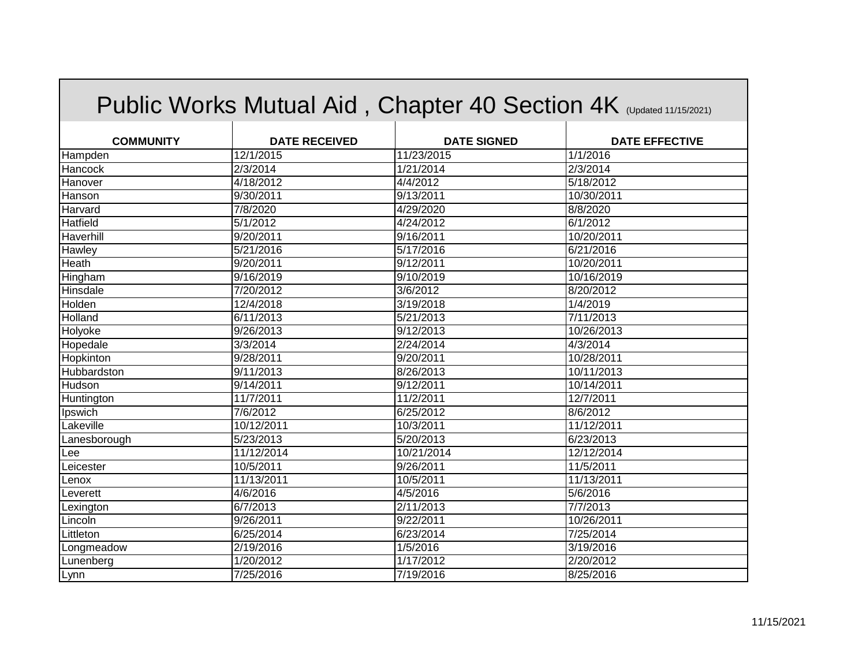|                  |                      |                     | Public Works Mutual Aid, Chapter 40 Section 4K (Updated 11/15/2021) |
|------------------|----------------------|---------------------|---------------------------------------------------------------------|
| <b>COMMUNITY</b> | <b>DATE RECEIVED</b> | <b>DATE SIGNED</b>  | <b>DATE EFFECTIVE</b>                                               |
| Hampden          | 12/1/2015            | 11/23/2015          | 1/1/2016                                                            |
| Hancock          | 2/3/2014             | 1/21/2014           | 2/3/2014                                                            |
| Hanover          | 4/18/2012            | 4/4/2012            | 5/18/2012                                                           |
| Hanson           | 9/30/2011            | 9/13/2011           | 10/30/2011                                                          |
| Harvard          | 7/8/2020             | 4/29/2020           | 8/8/2020                                                            |
| Hatfield         | 5/1/2012             | 4/24/2012           | 6/1/2012                                                            |
| Haverhill        | 9/20/2011            | 9/16/2011           | 10/20/2011                                                          |
| Hawley           | 5/21/2016            | 5/17/2016           | 6/21/2016                                                           |
| Heath            | 9/20/2011            | 9/12/2011           | 10/20/2011                                                          |
| Hingham          | 9/16/2019            | 9/10/2019           | 10/16/2019                                                          |
| Hinsdale         | 7/20/2012            | 3/6/2012            | 8/20/2012                                                           |
| Holden           | 12/4/2018            | 3/19/2018           | 1/4/2019                                                            |
| Holland          | 6/11/2013            | $\sqrt{5/21/2013}$  | 7/11/2013                                                           |
| Holyoke          | 9/26/2013            | 9/12/2013           | 10/26/2013                                                          |
| Hopedale         | 3/3/2014             | 2/24/2014           | 4/3/2014                                                            |
| Hopkinton        | 9/28/2011            | 9/20/2011           | 10/28/2011                                                          |
| Hubbardston      | 9/11/2013            | 8/26/2013           | 10/11/2013                                                          |
| Hudson           | 9/14/2011            | 9/12/2011           | 10/14/2011                                                          |
| Huntington       | 11/7/2011            | 11/2/2011           | 12/7/2011                                                           |
| Ipswich          | 7/6/2012             | 6/25/2012           | 8/6/2012                                                            |
| Lakeville        | 10/12/2011           | 10/3/2011           | 11/12/2011                                                          |
| Lanesborough     | 5/23/2013            | 5/20/2013           | 6/23/2013                                                           |
| Lee              | 11/12/2014           | 10/21/2014          | 12/12/2014                                                          |
| Leicester        | 10/5/2011            | 9/26/2011           | 11/5/2011                                                           |
| Lenox            | 11/13/2011           | 10/5/2011           | 11/13/2011                                                          |
| Leverett         | 4/6/2016             | 4/5/2016            | 5/6/2016                                                            |
| Lexington        | 6/7/2013             | 2/11/2013           | 7/7/2013                                                            |
| Lincoln          | 9/26/2011            | $\frac{9}{22}/2011$ | 10/26/2011                                                          |
| Littleton        | 6/25/2014            | 6/23/2014           | 7/25/2014                                                           |
| Longmeadow       | 2/19/2016            | 1/5/2016            | 3/19/2016                                                           |
| Lunenberg        | 1/20/2012            | 1/17/2012           | 2/20/2012                                                           |
| Lynn             | 7/25/2016            | 7/19/2016           | 8/25/2016                                                           |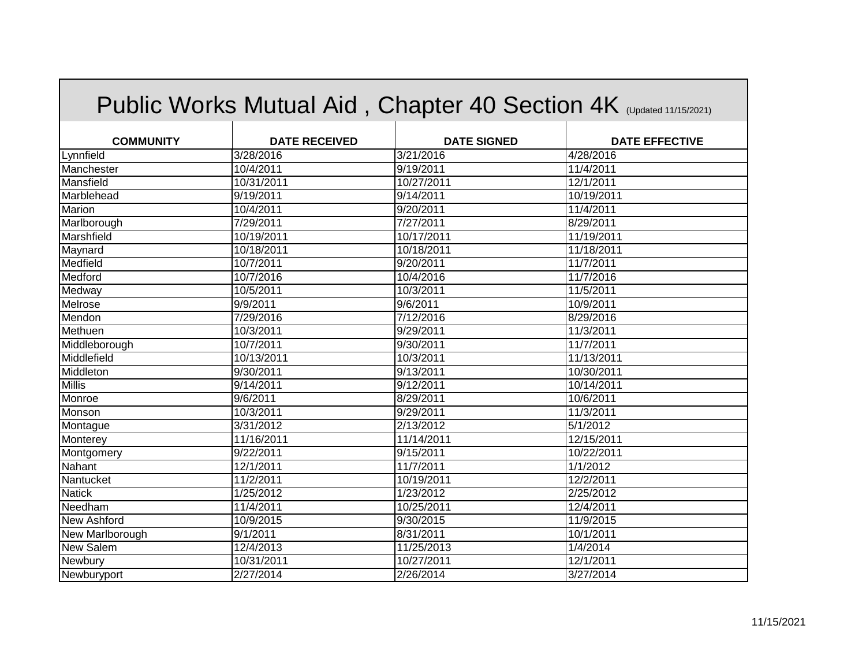|                  |                        | Public Works Mutual Aid, Chapter 40 Section 4K (Updated 11/15/2021) |                       |
|------------------|------------------------|---------------------------------------------------------------------|-----------------------|
| <b>COMMUNITY</b> | <b>DATE RECEIVED</b>   | <b>DATE SIGNED</b>                                                  | <b>DATE EFFECTIVE</b> |
| Lynnfield        | 3/28/2016              | 3/21/2016                                                           | 4/28/2016             |
| Manchester       | 10/4/2011              | 9/19/2011                                                           | 11/4/2011             |
| Mansfield        | 10/31/2011             | 10/27/2011                                                          | 12/1/2011             |
| Marblehead       | 9/19/2011              | 9/14/2011                                                           | 10/19/2011            |
| Marion           | 10/4/2011              | 9/20/2011                                                           | 11/4/2011             |
| Marlborough      | $\frac{1}{7}{29}/2011$ | 7/27/2011                                                           | 8/29/2011             |
| Marshfield       | 10/19/2011             | 10/17/2011                                                          | 11/19/2011            |
| Maynard          | 10/18/2011             | 10/18/2011                                                          | 11/18/2011            |
| Medfield         | 10/7/2011              | 9/20/2011                                                           | 11/7/2011             |
| Medford          | 10/7/2016              | 10/4/2016                                                           | 11/7/2016             |
| Medway           | 10/5/2011              | 10/3/2011                                                           | 11/5/2011             |
| Melrose          | 9/9/2011               | 9/6/2011                                                            | 10/9/2011             |
| Mendon           | 7/29/2016              | 7/12/2016                                                           | 8/29/2016             |
| Methuen          | 10/3/2011              | 9/29/2011                                                           | 11/3/2011             |
| Middleborough    | 10/7/2011              | 9/30/2011                                                           | 11/7/2011             |
| Middlefield      | 10/13/2011             | 10/3/2011                                                           | 11/13/2011            |
| Middleton        | $\frac{9}{30/2011}$    | 9/13/2011                                                           | 10/30/2011            |
| <b>Millis</b>    | 9/14/2011              | 9/12/2011                                                           | 10/14/2011            |
| Monroe           | 9/6/2011               | 8/29/2011                                                           | 10/6/2011             |
| Monson           | 10/3/2011              | 9/29/2011                                                           | 11/3/2011             |
| Montague         | 3/31/2012              | 2/13/2012                                                           | 5/1/2012              |
| Monterey         | 11/16/2011             | 11/14/2011                                                          | 12/15/2011            |
| Montgomery       | $\overline{9}/22/2011$ | 9/15/2011                                                           | 10/22/2011            |
| Nahant           | 12/1/2011              | 11/7/2011                                                           | 1/1/2012              |
| Nantucket        | 11/2/2011              | 10/19/2011                                                          | 12/2/2011             |
| <b>Natick</b>    | 1/25/2012              | 1/23/2012                                                           | 2/25/2012             |
| Needham          | 11/4/2011              | 10/25/2011                                                          | 12/4/2011             |
| New Ashford      | 10/9/2015              | 9/30/2015                                                           | 11/9/2015             |
| New Marlborough  | 9/1/2011               | 8/31/2011                                                           | 10/1/2011             |
| New Salem        | 12/4/2013              | 11/25/2013                                                          | 1/4/2014              |
| Newbury          | 10/31/2011             | 10/27/2011                                                          | 12/1/2011             |
| Newburyport      | $\overline{2}/27/2014$ | 2/26/2014                                                           | 3/27/2014             |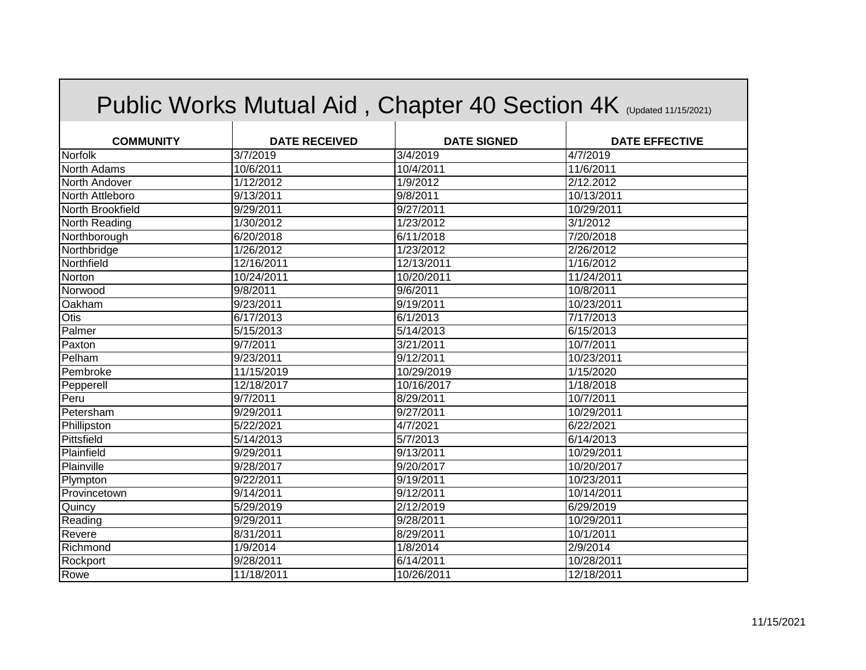|                  |                      |                       | Public Works Mutual Aid, Chapter 40 Section 4K (Updated 11/15/2021) |
|------------------|----------------------|-----------------------|---------------------------------------------------------------------|
| <b>COMMUNITY</b> | <b>DATE RECEIVED</b> | <b>DATE SIGNED</b>    | <b>DATE EFFECTIVE</b>                                               |
| Norfolk          | 3/7/2019             | 3/4/2019              | 4/7/2019                                                            |
| North Adams      | 10/6/2011            | 10/4/2011             | 11/6/2011                                                           |
| North Andover    | 1/12/2012            | 1/9/2012              | 2/12.2012                                                           |
| North Attleboro  | 9/13/2011            | 9/8/2011              | 10/13/2011                                                          |
| North Brookfield | 9/29/2011            | $\frac{9}{27/2011}$   | 10/29/2011                                                          |
| North Reading    | 1/30/2012            | 1/23/2012             | 3/1/2012                                                            |
| Northborough     | 6/20/2018            | 6/11/2018             | 7/20/2018                                                           |
| Northbridge      | 1/26/2012            | 1/23/2012             | 2/26/2012                                                           |
| Northfield       | 12/16/2011           | 12/13/2011            | 1/16/2012                                                           |
| Norton           | 10/24/2011           | 10/20/2011            | 11/24/2011                                                          |
| Norwood          | 9/8/2011             | 9/6/2011              | 10/8/2011                                                           |
| Oakham           | 9/23/2011            | 9/19/2011             | 10/23/2011                                                          |
| Otis             | 6/17/2013            | 6/1/2013              | 7/17/2013                                                           |
| Palmer           | 5/15/2013            | 5/14/2013             | 6/15/2013                                                           |
| Paxton           | 9/7/2011             | 3/21/2011             | 10/7/2011                                                           |
| Pelham           | 9/23/2011            | 9/12/2011             | 10/23/2011                                                          |
| Pembroke         | 11/15/2019           | 10/29/2019            | 1/15/2020                                                           |
| Pepperell        | 12/18/2017           | 10/16/2017            | 1/18/2018                                                           |
| Peru             | 9/7/2011             | 8/29/2011             | 10/7/2011                                                           |
| Petersham        | 9/29/2011            | 9/27/2011             | 10/29/2011                                                          |
| Phillipston      | 5/22/2021            | 4/7/2021              | 6/22/2021                                                           |
| Pittsfield       | 5/14/2013            | 5/7/2013              | 6/14/2013                                                           |
| Plainfield       | 9/29/2011            | 9/13/2011             | 10/29/2011                                                          |
| Plainville       | 9/28/2017            | 9/20/2017             | 10/20/2017                                                          |
| Plympton         | 9/22/2011            | $\frac{1}{9}$ 19/2011 | 10/23/2011                                                          |
| Provincetown     | 9/14/2011            | 9/12/2011             | 10/14/2011                                                          |
| Quincy           | 5/29/2019            | 2/12/2019             | 6/29/2019                                                           |
| Reading          | 9/29/2011            | 9/28/2011             | 10/29/2011                                                          |
| Revere           | 8/31/2011            | 8/29/2011             | 10/1/2011                                                           |
| Richmond         | 1/9/2014             | 1/8/2014              | 2/9/2014                                                            |
| Rockport         | 9/28/2011            | 6/14/2011             | 10/28/2011                                                          |
| Rowe             | 11/18/2011           | 10/26/2011            | 12/18/2011                                                          |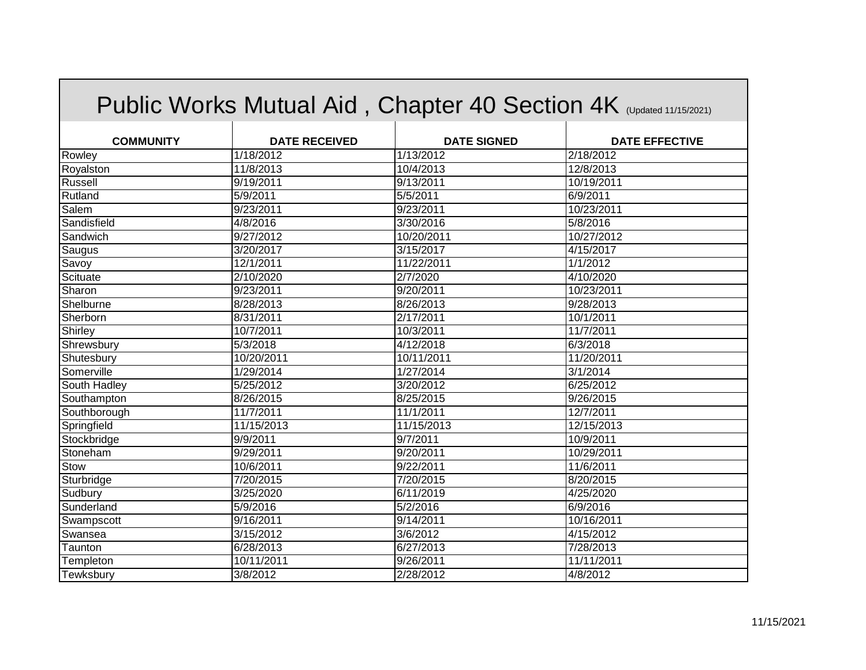|                         |                      | Public Works Mutual Aid, Chapter 40 Section 4K (Updated 11/15/2021) |                       |
|-------------------------|----------------------|---------------------------------------------------------------------|-----------------------|
| <b>COMMUNITY</b>        | <b>DATE RECEIVED</b> | <b>DATE SIGNED</b>                                                  | <b>DATE EFFECTIVE</b> |
| Rowley                  | 1/18/2012            | 1/13/2012                                                           | 2/18/2012             |
| Royalston               | 11/8/2013            | 10/4/2013                                                           | 12/8/2013             |
| Russell                 | 9/19/2011            | 9/13/2011                                                           | 10/19/2011            |
| Rutland                 | 5/9/2011             | 5/5/2011                                                            | 6/9/2011              |
| Salem                   | 9/23/2011            | 9/23/2011                                                           | 10/23/2011            |
| Sandisfield             | 4/8/2016             | 3/30/2016                                                           | 5/8/2016              |
| Sandwich                | 9/27/2012            | 10/20/2011                                                          | 10/27/2012            |
| Saugus                  | 3/20/2017            | 3/15/2017                                                           | 4/15/2017             |
| Savoy                   | 12/1/2011            | 11/22/2011                                                          | 1/1/2012              |
| Scituate                | 2/10/2020            | 2/7/2020                                                            | 4/10/2020             |
| Sharon                  | 9/23/2011            | 9/20/2011                                                           | 10/23/2011            |
| Shelburne               | 8/28/2013            | 8/26/2013                                                           | 9/28/2013             |
| Sherborn                | 8/31/2011            | 2/17/2011                                                           | 10/1/2011             |
| Shirley                 | 10/7/2011            | 10/3/2011                                                           | 11/7/2011             |
| Shrewsbury              | 5/3/2018             | 4/12/2018                                                           | 6/3/2018              |
| Shutesbury              | 10/20/2011           | 10/11/2011                                                          | 11/20/2011            |
| Somerville              | 1/29/2014            | 1/27/2014                                                           | 3/1/2014              |
| South Hadley            | $\sqrt{5/25/2012}$   | 3/20/2012                                                           | 6/25/2012             |
| Southampton             | 8/26/2015            | 8/25/2015                                                           | 9/26/2015             |
| Southborough            | 11/7/2011            | 11/1/2011                                                           | 12/7/2011             |
|                         | 11/15/2013           | 11/15/2013                                                          | 12/15/2013            |
| Springfield             | 9/9/2011             | 9/7/2011                                                            | 10/9/2011             |
| Stockbridge<br>Stoneham |                      |                                                                     |                       |
|                         | 9/29/2011            | 9/20/2011                                                           | 10/29/2011            |
| Stow                    | 10/6/2011            | 9/22/2011                                                           | 11/6/2011             |
| Sturbridge              | 7/20/2015            | 7/20/2015                                                           | 8/20/2015             |
| Sudbury                 | 3/25/2020            | 6/11/2019                                                           | 4/25/2020             |
| Sunderland              | 5/9/2016             | 5/2/2016                                                            | 6/9/2016              |
| Swampscott              | 9/16/2011            | 9/14/2011                                                           | 10/16/2011            |
| Swansea                 | 3/15/2012            | 3/6/2012                                                            | 4/15/2012             |
| Taunton                 | 6/28/2013            | 6/27/2013                                                           | 7/28/2013             |
| Templeton               | 10/11/2011           | 9/26/2011                                                           | 11/11/2011            |
| Tewksbury               | 3/8/2012             | 2/28/2012                                                           | 4/8/2012              |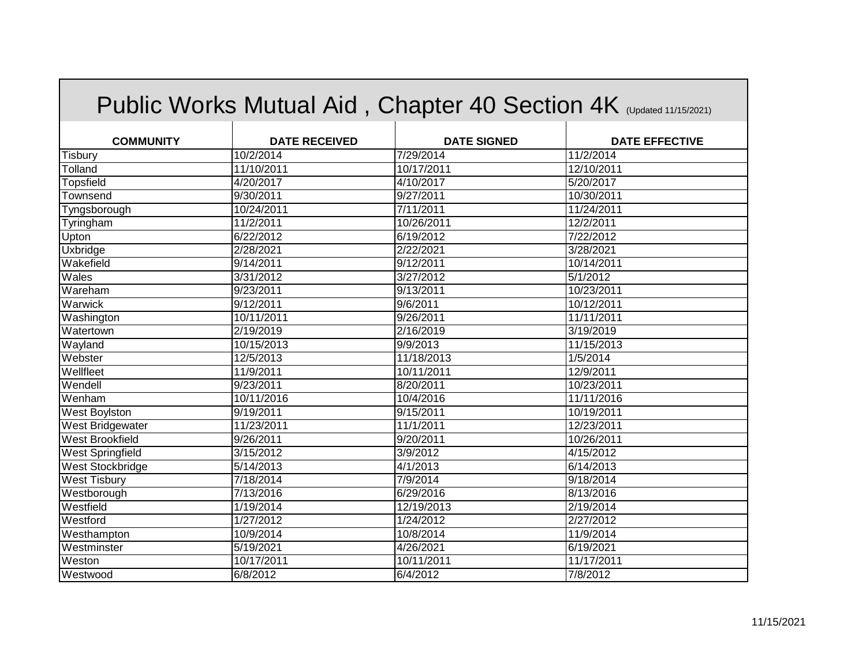|                     |                        | Public Works Mutual Aid, Chapter 40 Section 4K (Updated 11/15/2021) |                       |
|---------------------|------------------------|---------------------------------------------------------------------|-----------------------|
| <b>COMMUNITY</b>    | <b>DATE RECEIVED</b>   | <b>DATE SIGNED</b>                                                  | <b>DATE EFFECTIVE</b> |
| <b>Tisbury</b>      | 10/2/2014              | 7/29/2014                                                           | 11/2/2014             |
| Tolland             | 11/10/2011             | 10/17/2011                                                          | 12/10/2011            |
| <b>Topsfield</b>    | 4/20/2017              | 4/10/2017                                                           | 5/20/2017             |
| Townsend            | 9/30/2011              | 9/27/2011                                                           | 10/30/2011            |
| Tyngsborough        | 10/24/2011             | 7/11/2011                                                           | 11/24/2011            |
| Tyringham           | 11/2/2011              | 10/26/2011                                                          | 12/2/2011             |
| Upton               | 6/22/2012              | 6/19/2012                                                           | 7/22/2012             |
| <b>Uxbridge</b>     | 2/28/2021              | 2/22/2021                                                           | 3/28/2021             |
| Wakefield           | 9/14/2011              | 9/12/2011                                                           | 10/14/2011            |
| Wales               | 3/31/2012              | 3/27/2012                                                           | 5/1/2012              |
| Wareham             | 9/23/2011              | 9/13/2011                                                           | 10/23/2011            |
| Warwick             | 9/12/2011              | 9/6/2011                                                            | 10/12/2011            |
| Washington          | 10/11/2011             | 9/26/2011                                                           | 11/11/2011            |
| Watertown           | 2/19/2019              | 2/16/2019                                                           | 3/19/2019             |
| Wayland             | 10/15/2013             | 9/9/2013                                                            | 11/15/2013            |
| Webster             | 12/5/2013              | 11/18/2013                                                          | 1/5/2014              |
| Wellfleet           | 11/9/2011              | 10/11/2011                                                          | 12/9/2011             |
| Wendell             | 9/23/2011              | 8/20/2011                                                           | 10/23/2011            |
| Wenham              | 10/11/2016             | 10/4/2016                                                           | 11/11/2016            |
| West Boylston       | 9/19/2011              | 9/15/2011                                                           | 10/19/2011            |
| West Bridgewater    | 11/23/2011             | 11/1/2011                                                           | 12/23/2011            |
| West Brookfield     | $\frac{9}{26}$ /2011   | 9/20/2011                                                           | 10/26/2011            |
| West Springfield    | 3/15/2012              | 3/9/2012                                                            | 4/15/2012             |
| West Stockbridge    | 5/14/2013              | 4/1/2013                                                            | 6/14/2013             |
| <b>West Tisbury</b> | 7/18/2014              | 7/9/2014                                                            | 9/18/2014             |
| Westborough         | 7/13/2016              | 6/29/2016                                                           | 8/13/2016             |
| Westfield           | 1/19/2014              | 12/19/2013                                                          | 2/19/2014             |
| Westford            | 1/27/2012              | 1/24/2012                                                           | 2/27/2012             |
| Westhampton         | 10/9/2014              | 10/8/2014                                                           | 11/9/2014             |
| Westminster         | $\overline{5/19/2021}$ | 4/26/2021                                                           | 6/19/2021             |
| Weston              | 10/17/2011             | 10/11/2011                                                          | 11/17/2011            |
| Westwood            | 6/8/2012               | 6/4/2012                                                            | 7/8/2012              |